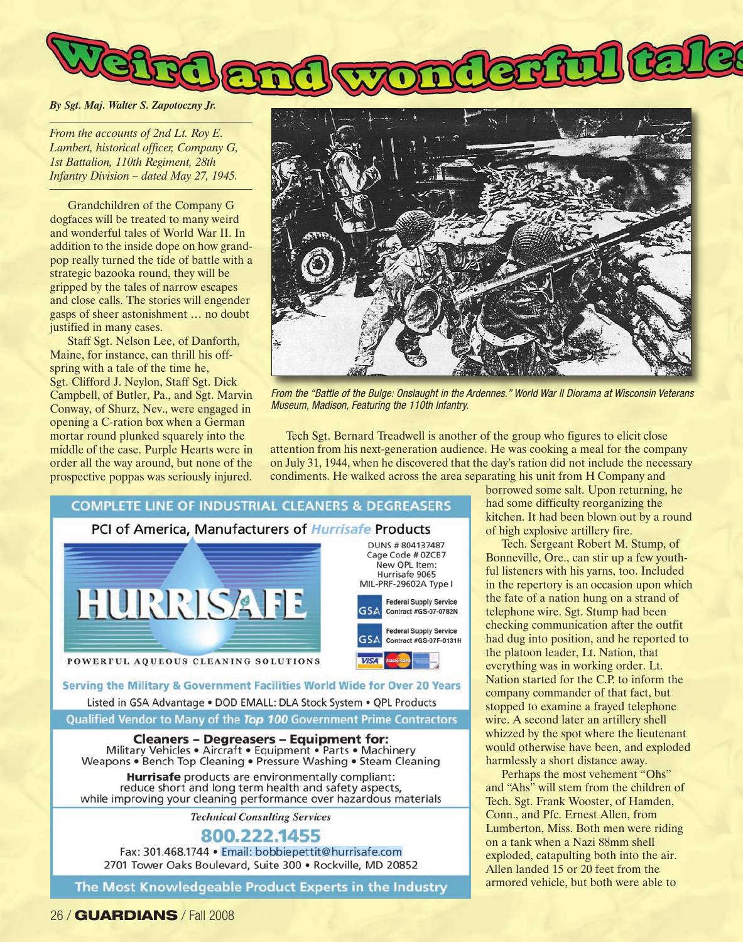## *By Sgt. Maj. Walter S. Zapotoczny Jr.*

*From the accounts of 2nd Lt. Roy E. Lambert, historical officer, Company G, 1st Battalion, 110th Regiment, 28th Infantry Division – dated May 27, 1945.*

Grandchildren of the Company G dogfaces will be treated to many weird and wonderful tales of World War II. In addition to the inside dope on how grandpop really turned the tide of battle with a strategic bazooka round, they will be gripped by the tales of narrow escapes and close calls. The stories will engender gasps of sheer astonishment … no doubt justified in many cases.

Staff Sgt. Nelson Lee, of Danforth, Maine, for instance, can thrill his offspring with a tale of the time he, Sgt. Clifford J. Neylon, Staff Sgt. Dick Campbell, of Butler, Pa., and Sgt. Marvin Conway, of Shurz, Nev., were engaged in opening a C-ration box when a German mortar round plunked squarely into the middle of the case. Purple Hearts were in order all the way around, but none of the prospective poppas was seriously injured.



*From the "Battle of the Bulge: Onslaught in the Ardennes." World War II Diorama at Wisconsin Veterans Museum, Madison, Featuring the 110th Infantry.*

Tech Sgt. Bernard Treadwell is another of the group who figures to elicit close attention from his next-generation audience. He was cooking a meal for the company on July 31, 1944, when he discovered that the day's ration did not include the necessary condiments. He walked across the area separating his unit from H Company and



**Cleaners - Degreasers - Equipment for:** Military Vehicles . Aircraft . Equipment . Parts . Machinery Weapons • Bench Top Cleaning • Pressure Washing • Steam Cleaning

Hurrisafe products are environmentally compliant: reduce short and long term health and safety aspects, while improving your cleaning performance over hazardous materials

**Technical Consulting Services** 

800.222.1455 Fax: 301.468.1744 · Email: bobbiepettit@hurrisafe.com 2701 Tower Oaks Boulevard, Suite 300 · Rockville, MD 20852

The Most Knowledgeable Product Experts in the Industry

borrowed some salt. Upon returning, he had some difficulty reorganizing the kitchen. It had been blown out by a round of high explosive artillery fire.

Tech. Sergeant Robert M. Stump, of Bonneville, Ore., can stir up a few youthful listeners with his yarns, too. Included in the repertory is an occasion upon which the fate of a nation hung on a strand of telephone wire. Sgt. Stump had been checking communication after the outfit had dug into position, and he reported to the platoon leader, Lt. Nation, that everything was in working order. Lt. Nation started for the C.P. to inform the company commander of that fact, but stopped to examine a frayed telephone wire. A second later an artillery shell whizzed by the spot where the lieutenant would otherwise have been, and exploded harmlessly a short distance away.

Perhaps the most vehement "Ohs" and "Ahs" will stem from the children of Tech. Sgt. Frank Wooster, of Hamden, Conn., and Pfc. Ernest Allen, from Lumberton, Miss. Both men were riding on a tank when a Nazi 88mm shell exploded, catapulting both into the air. Allen landed 15 or 20 feet from the armored vehicle, but both were able to